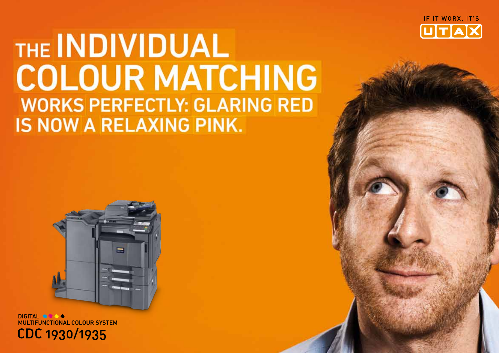

## THE INDIVIDUAL **COLOUR MATCHING WORKS PERFECTLY: GLARING RED** IS NOW A RELAXING PINK.



**MULTIFUNCTIONAL COLOUR SYSTEM** CDC 1930/1935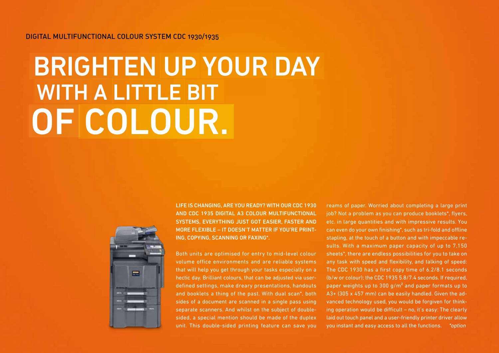Digital Multifunctional Colour System CDC 1930/1935

## of colour. WITH A LITTLE BIT Brighten up Your Day



Life is changing, are you ready? With our CDC 1930 and CDC 1935 digital A3 colour multifunctional SYSTEMS, EVERYTHING JUST GOT EASIER, FASTER AND more flexible – it doesn't matter if you're printing, copying, scanning or faxing\*.

Both units are optimised for entry to mid-level colour volume office environments and are reliable systems that will help you get through your tasks especially on a hectic day. Brilliant colours, that can be adjusted via userdefined settings, make dreary presentations, handouts and booklets a thing of the past. With dual scan\*, both sides of a document are scanned in a single pass using separate scanners. And whilst on the subject of doublesided, a special mention should be made of the duplex unit. This double-sided printing feature can save you reams of paper. Worried about completing a large print job? Not a problem as you can produce booklets\*, flyers, etc. in large quantities and with impressive results. You can even do your own finishing\*, such as tri-fold and offline stapling, at the touch of a button and with impeccable results. With a maximum paper capacity of up to 7,150 sheets\*, there are endless possibilities for you to take on any task with speed and flexibility, and talking of speed: The CDC 1930 has a first copy time of 6.2/8.1 seconds (b/w or colour); the CDC 1935 5.8/7.4 seconds. If required, paper weights up to 300 g/m² and paper formats up to A3+ (305 x 457 mm) can be easily handled. Given the advanced technology used, you would be forgiven for thinking operation would be difficult – no, it's easy: The clearly laid out touch panel and a user-friendly printer driver allow you instant and easy access to all the functions. \*option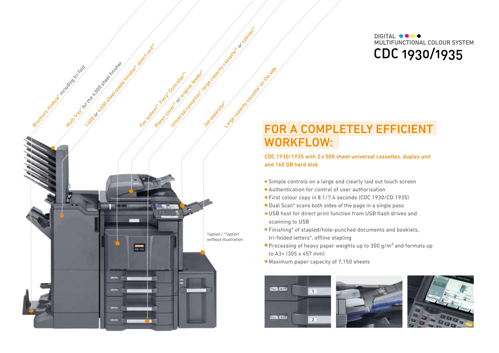DIGITAL **SOCO** MULTIFUNCTIONAL COLOUR SYSTEM CDC 1930/1935

# Platen cover or original feed or capacity cassette or cabinet Brochure Multicraft for the w. go street included La Capacity capacity capacity can be side as of Multi tray for the 4,000 sheet finished \*option / \*\*option without illustration -

or 1000 sheet in 1978 finisher states for the finisher

### For a completely efficient WORKFLOW:

#### CDC 1930/1935 with 2 x 500 sheet universal cassettes, duplex unit and 160 GB hard disk

- Simple controls on a large and clearly laid out touch screen
- Authentication for control of user authorisation
- First colour copy in 8.1/7.4 seconds (CDC 1930/CD 1935)
- Dual Scan\* scans both sides of the page in a single pass
- USB host for direct print function from USB flash drives and scanning to USB
- Finishing\* of stapled/hole-punched documents and booklets, tri-folded letters\*, offline stapling
- Processing of heavy paper weights up to 300 g/m<sup>2</sup> and formats up to A3+ (305 x 457 mm)
- Maximum paper capacity of 7,150 sheets